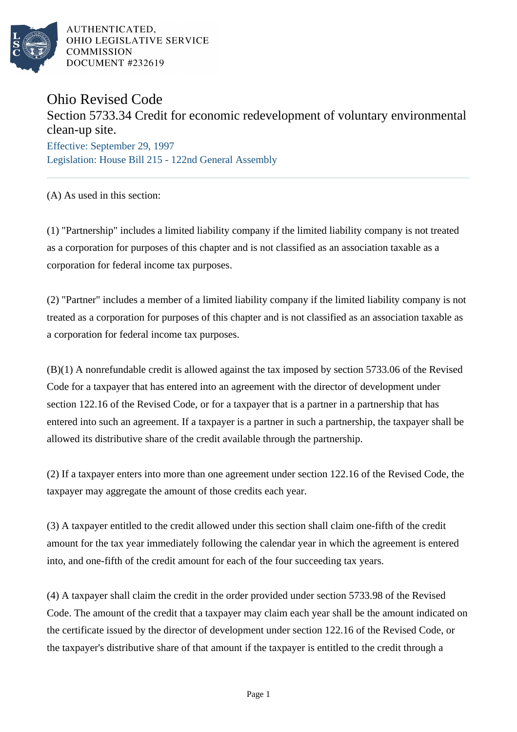

AUTHENTICATED. OHIO LEGISLATIVE SERVICE **COMMISSION** DOCUMENT #232619

## Ohio Revised Code

## Section 5733.34 Credit for economic redevelopment of voluntary environmental clean-up site.

Effective: September 29, 1997 Legislation: House Bill 215 - 122nd General Assembly

(A) As used in this section:

(1) "Partnership" includes a limited liability company if the limited liability company is not treated as a corporation for purposes of this chapter and is not classified as an association taxable as a corporation for federal income tax purposes.

(2) "Partner" includes a member of a limited liability company if the limited liability company is not treated as a corporation for purposes of this chapter and is not classified as an association taxable as a corporation for federal income tax purposes.

(B)(1) A nonrefundable credit is allowed against the tax imposed by section 5733.06 of the Revised Code for a taxpayer that has entered into an agreement with the director of development under section 122.16 of the Revised Code, or for a taxpayer that is a partner in a partnership that has entered into such an agreement. If a taxpayer is a partner in such a partnership, the taxpayer shall be allowed its distributive share of the credit available through the partnership.

(2) If a taxpayer enters into more than one agreement under section 122.16 of the Revised Code, the taxpayer may aggregate the amount of those credits each year.

(3) A taxpayer entitled to the credit allowed under this section shall claim one-fifth of the credit amount for the tax year immediately following the calendar year in which the agreement is entered into, and one-fifth of the credit amount for each of the four succeeding tax years.

(4) A taxpayer shall claim the credit in the order provided under section 5733.98 of the Revised Code. The amount of the credit that a taxpayer may claim each year shall be the amount indicated on the certificate issued by the director of development under section 122.16 of the Revised Code, or the taxpayer's distributive share of that amount if the taxpayer is entitled to the credit through a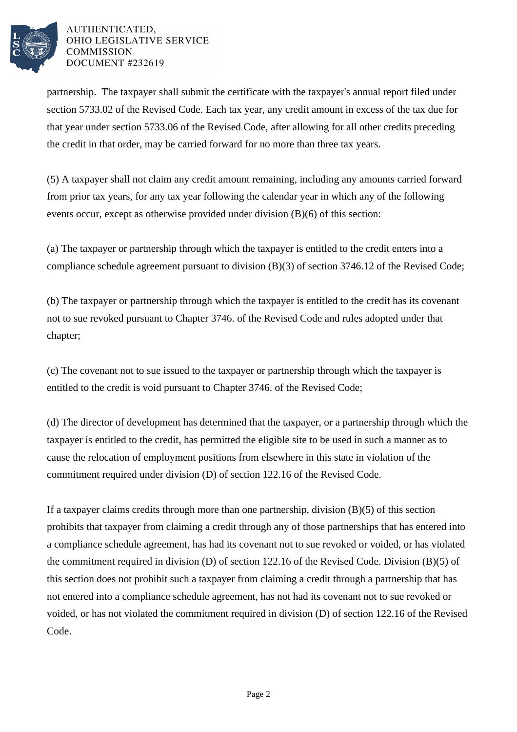

## AUTHENTICATED. OHIO LEGISLATIVE SERVICE **COMMISSION** DOCUMENT #232619

partnership. The taxpayer shall submit the certificate with the taxpayer's annual report filed under section 5733.02 of the Revised Code. Each tax year, any credit amount in excess of the tax due for that year under section 5733.06 of the Revised Code, after allowing for all other credits preceding the credit in that order, may be carried forward for no more than three tax years.

(5) A taxpayer shall not claim any credit amount remaining, including any amounts carried forward from prior tax years, for any tax year following the calendar year in which any of the following events occur, except as otherwise provided under division (B)(6) of this section:

(a) The taxpayer or partnership through which the taxpayer is entitled to the credit enters into a compliance schedule agreement pursuant to division (B)(3) of section 3746.12 of the Revised Code;

(b) The taxpayer or partnership through which the taxpayer is entitled to the credit has its covenant not to sue revoked pursuant to Chapter 3746. of the Revised Code and rules adopted under that chapter;

(c) The covenant not to sue issued to the taxpayer or partnership through which the taxpayer is entitled to the credit is void pursuant to Chapter 3746. of the Revised Code;

(d) The director of development has determined that the taxpayer, or a partnership through which the taxpayer is entitled to the credit, has permitted the eligible site to be used in such a manner as to cause the relocation of employment positions from elsewhere in this state in violation of the commitment required under division (D) of section 122.16 of the Revised Code.

If a taxpayer claims credits through more than one partnership, division (B)(5) of this section prohibits that taxpayer from claiming a credit through any of those partnerships that has entered into a compliance schedule agreement, has had its covenant not to sue revoked or voided, or has violated the commitment required in division (D) of section 122.16 of the Revised Code. Division (B)(5) of this section does not prohibit such a taxpayer from claiming a credit through a partnership that has not entered into a compliance schedule agreement, has not had its covenant not to sue revoked or voided, or has not violated the commitment required in division (D) of section 122.16 of the Revised Code.